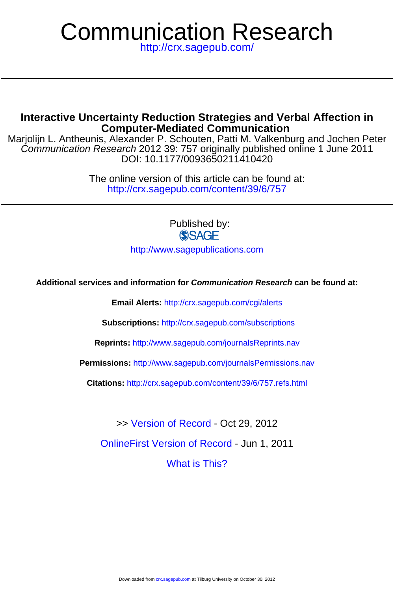# Communication Research

<http://crx.sagepub.com/>

# **Computer-Mediated Communication Interactive Uncertainty Reduction Strategies and Verbal Affection in**

DOI: 10.1177/0093650211410420 Communication Research 2012 39: 757 originally published online 1 June 2011 Marjolijn L. Antheunis, Alexander P. Schouten, Patti M. Valkenburg and Jochen Peter

> <http://crx.sagepub.com/content/39/6/757> The online version of this article can be found at:

> > Published by: **SSAGE**

<http://www.sagepublications.com>

**Additional services and information for Communication Research can be found at:**

**Email Alerts:** <http://crx.sagepub.com/cgi/alerts>

**Subscriptions:** <http://crx.sagepub.com/subscriptions>

**Reprints:** <http://www.sagepub.com/journalsReprints.nav>

**Permissions:** <http://www.sagepub.com/journalsPermissions.nav>

**Citations:** <http://crx.sagepub.com/content/39/6/757.refs.html>

[What is This?](http://online.sagepub.com/site/sphelp/vorhelp.xhtml) [OnlineFirst Version of Record](http://crx.sagepub.com/content/early/2011/06/01/0093650211410420.full.pdf) - Jun 1, 2011 >> [Version of Record -](http://crx.sagepub.com/content/39/6/757.full.pdf) Oct 29, 2012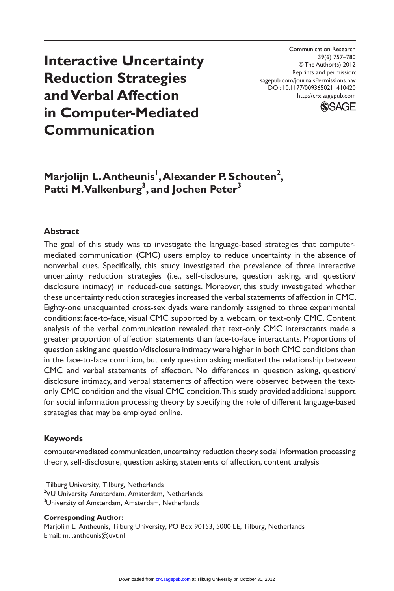**Interactive Uncertainty Reduction Strategies and Verbal Affection in Computer-Mediated Communication**

Communication Research 39(6) 757–780 © The Author(s) 2012 Reprints and permission: sagepub.com/journalsPermissions.nav DOI: 10.1177/0093650211410420 http://crx.sagepub.com



**Marjolijn L.Antheunis<sup>1</sup>, Alexander P. Schouten<sup>2</sup>,** Patti M.Valkenburg<sup>3</sup>, and Jochen Peter<sup>3</sup>

#### **Abstract**

The goal of this study was to investigate the language-based strategies that computermediated communication (CMC) users employ to reduce uncertainty in the absence of nonverbal cues. Specifically, this study investigated the prevalence of three interactive uncertainty reduction strategies (i.e., self-disclosure, question asking, and question/ disclosure intimacy) in reduced-cue settings. Moreover, this study investigated whether these uncertainty reduction strategies increased the verbal statements of affection in CMC. Eighty-one unacquainted cross-sex dyads were randomly assigned to three experimental conditions: face-to-face, visual CMC supported by a webcam, or text-only CMC. Content analysis of the verbal communication revealed that text-only CMC interactants made a greater proportion of affection statements than face-to-face interactants. Proportions of question asking and question/disclosure intimacy were higher in both CMC conditions than in the face-to-face condition, but only question asking mediated the relationship between CMC and verbal statements of affection. No differences in question asking, question/ disclosure intimacy, and verbal statements of affection were observed between the textonly CMC condition and the visual CMC condition. This study provided additional support for social information processing theory by specifying the role of different language-based strategies that may be employed online.

### **Keywords**

computer-mediated communication, uncertainty reduction theory, social information processing theory, self-disclosure, question asking, statements of affection, content analysis

<sup>1</sup>Tilburg University, Tilburg, Netherlands

<sup>2</sup>VU University Amsterdam, Amsterdam, Netherlands

<sup>3</sup>University of Amsterdam, Amsterdam, Netherlands

**Corresponding Author:**

Marjolijn L. Antheunis, Tilburg University, PO Box 90153, 5000 LE, Tilburg, Netherlands Email: m.l.antheunis@uvt.nl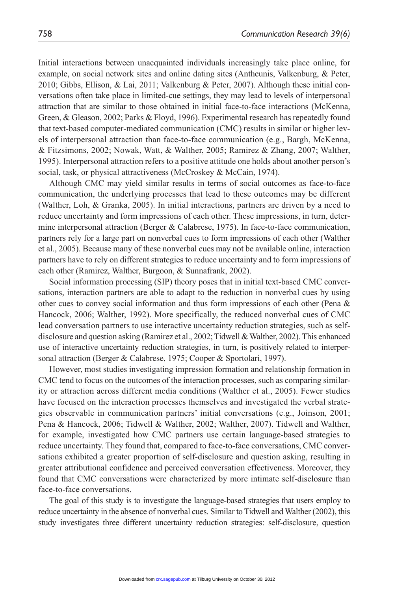Initial interactions between unacquainted individuals increasingly take place online, for example, on social network sites and online dating sites (Antheunis, Valkenburg, & Peter, 2010; Gibbs, Ellison, & Lai, 2011; Valkenburg & Peter, 2007). Although these initial conversations often take place in limited-cue settings, they may lead to levels of interpersonal attraction that are similar to those obtained in initial face-to-face interactions (McKenna, Green, & Gleason, 2002; Parks & Floyd, 1996). Experimental research has repeatedly found that text-based computer-mediated communication (CMC) results in similar or higher levels of interpersonal attraction than face-to-face communication (e.g., Bargh, McKenna, & Fitzsimons, 2002; Nowak, Watt, & Walther, 2005; Ramirez & Zhang, 2007; Walther, 1995). Interpersonal attraction refers to a positive attitude one holds about another person's social, task, or physical attractiveness (McCroskey & McCain, 1974).

Although CMC may yield similar results in terms of social outcomes as face-to-face communication, the underlying processes that lead to these outcomes may be different (Walther, Loh, & Granka, 2005). In initial interactions, partners are driven by a need to reduce uncertainty and form impressions of each other. These impressions, in turn, determine interpersonal attraction (Berger & Calabrese, 1975). In face-to-face communication, partners rely for a large part on nonverbal cues to form impressions of each other (Walther et al., 2005). Because many of these nonverbal cues may not be available online, interaction partners have to rely on different strategies to reduce uncertainty and to form impressions of each other (Ramirez, Walther, Burgoon, & Sunnafrank, 2002).

Social information processing (SIP) theory poses that in initial text-based CMC conversations, interaction partners are able to adapt to the reduction in nonverbal cues by using other cues to convey social information and thus form impressions of each other (Pena  $\&$ Hancock, 2006; Walther, 1992). More specifically, the reduced nonverbal cues of CMC lead conversation partners to use interactive uncertainty reduction strategies, such as selfdisclosure and question asking (Ramirez et al., 2002; Tidwell & Walther, 2002). This enhanced use of interactive uncertainty reduction strategies, in turn, is positively related to interpersonal attraction (Berger & Calabrese, 1975; Cooper & Sportolari, 1997).

However, most studies investigating impression formation and relationship formation in CMC tend to focus on the outcomes of the interaction processes, such as comparing similarity or attraction across different media conditions (Walther et al., 2005). Fewer studies have focused on the interaction processes themselves and investigated the verbal strategies observable in communication partners' initial conversations (e.g., Joinson, 2001; Pena & Hancock, 2006; Tidwell & Walther, 2002; Walther, 2007). Tidwell and Walther, for example, investigated how CMC partners use certain language-based strategies to reduce uncertainty. They found that, compared to face-to-face conversations, CMC conversations exhibited a greater proportion of self-disclosure and question asking, resulting in greater attributional confidence and perceived conversation effectiveness. Moreover, they found that CMC conversations were characterized by more intimate self-disclosure than face-to-face conversations.

The goal of this study is to investigate the language-based strategies that users employ to reduce uncertainty in the absence of nonverbal cues. Similar to Tidwell and Walther (2002), this study investigates three different uncertainty reduction strategies: self-disclosure, question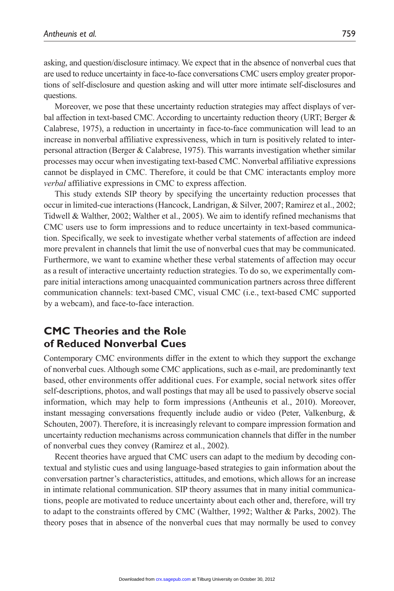asking, and question/disclosure intimacy. We expect that in the absence of nonverbal cues that are used to reduce uncertainty in face-to-face conversations CMC users employ greater proportions of self-disclosure and question asking and will utter more intimate self-disclosures and questions.

Moreover, we pose that these uncertainty reduction strategies may affect displays of verbal affection in text-based CMC. According to uncertainty reduction theory (URT; Berger & Calabrese, 1975), a reduction in uncertainty in face-to-face communication will lead to an increase in nonverbal affiliative expressiveness, which in turn is positively related to interpersonal attraction (Berger & Calabrese, 1975). This warrants investigation whether similar processes may occur when investigating text-based CMC. Nonverbal affiliative expressions cannot be displayed in CMC. Therefore, it could be that CMC interactants employ more *verbal* affiliative expressions in CMC to express affection.

This study extends SIP theory by specifying the uncertainty reduction processes that occur in limited-cue interactions (Hancock, Landrigan, & Silver, 2007; Ramirez et al., 2002; Tidwell & Walther, 2002; Walther et al., 2005). We aim to identify refined mechanisms that CMC users use to form impressions and to reduce uncertainty in text-based communication. Specifically, we seek to investigate whether verbal statements of affection are indeed more prevalent in channels that limit the use of nonverbal cues that may be communicated. Furthermore, we want to examine whether these verbal statements of affection may occur as a result of interactive uncertainty reduction strategies. To do so, we experimentally compare initial interactions among unacquainted communication partners across three different communication channels: text-based CMC, visual CMC (i.e., text-based CMC supported by a webcam), and face-to-face interaction.

# **CMC Theories and the Role of Reduced Nonverbal Cues**

Contemporary CMC environments differ in the extent to which they support the exchange of nonverbal cues. Although some CMC applications, such as e-mail, are predominantly text based, other environments offer additional cues. For example, social network sites offer self-descriptions, photos, and wall postings that may all be used to passively observe social information, which may help to form impressions (Antheunis et al., 2010). Moreover, instant messaging conversations frequently include audio or video (Peter, Valkenburg, & Schouten, 2007). Therefore, it is increasingly relevant to compare impression formation and uncertainty reduction mechanisms across communication channels that differ in the number of nonverbal cues they convey (Ramirez et al., 2002).

Recent theories have argued that CMC users can adapt to the medium by decoding contextual and stylistic cues and using language-based strategies to gain information about the conversation partner's characteristics, attitudes, and emotions, which allows for an increase in intimate relational communication. SIP theory assumes that in many initial communications, people are motivated to reduce uncertainty about each other and, therefore, will try to adapt to the constraints offered by CMC (Walther, 1992; Walther & Parks, 2002). The theory poses that in absence of the nonverbal cues that may normally be used to convey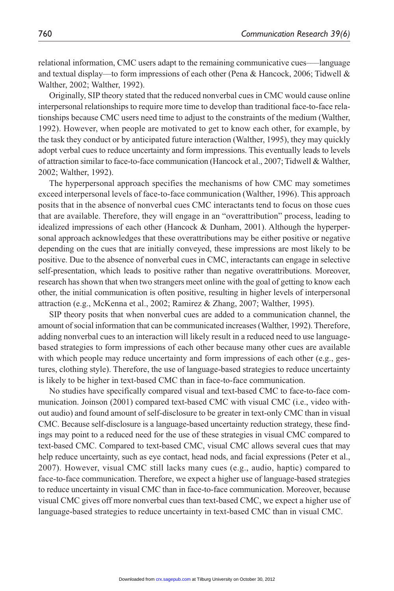relational information, CMC users adapt to the remaining communicative cues–––language and textual display—to form impressions of each other (Pena & Hancock, 2006; Tidwell & Walther, 2002; Walther, 1992).

Originally, SIP theory stated that the reduced nonverbal cues in CMC would cause online interpersonal relationships to require more time to develop than traditional face-to-face relationships because CMC users need time to adjust to the constraints of the medium (Walther, 1992). However, when people are motivated to get to know each other, for example, by the task they conduct or by anticipated future interaction (Walther, 1995), they may quickly adopt verbal cues to reduce uncertainty and form impressions. This eventually leads to levels of attraction similar to face-to-face communication (Hancock et al., 2007; Tidwell & Walther, 2002; Walther, 1992).

The hyperpersonal approach specifies the mechanisms of how CMC may sometimes exceed interpersonal levels of face-to-face communication (Walther, 1996). This approach posits that in the absence of nonverbal cues CMC interactants tend to focus on those cues that are available. Therefore, they will engage in an "overattribution" process, leading to idealized impressions of each other (Hancock & Dunham, 2001). Although the hyperpersonal approach acknowledges that these overattributions may be either positive or negative depending on the cues that are initially conveyed, these impressions are most likely to be positive. Due to the absence of nonverbal cues in CMC, interactants can engage in selective self-presentation, which leads to positive rather than negative overattributions. Moreover, research has shown that when two strangers meet online with the goal of getting to know each other, the initial communication is often positive, resulting in higher levels of interpersonal attraction (e.g., McKenna et al., 2002; Ramirez & Zhang, 2007; Walther, 1995).

SIP theory posits that when nonverbal cues are added to a communication channel, the amount of social information that can be communicated increases (Walther, 1992). Therefore, adding nonverbal cues to an interaction will likely result in a reduced need to use languagebased strategies to form impressions of each other because many other cues are available with which people may reduce uncertainty and form impressions of each other (e.g., gestures, clothing style). Therefore, the use of language-based strategies to reduce uncertainty is likely to be higher in text-based CMC than in face-to-face communication.

No studies have specifically compared visual and text-based CMC to face-to-face communication. Joinson (2001) compared text-based CMC with visual CMC (i.e., video without audio) and found amount of self-disclosure to be greater in text-only CMC than in visual CMC. Because self-disclosure is a language-based uncertainty reduction strategy, these findings may point to a reduced need for the use of these strategies in visual CMC compared to text-based CMC. Compared to text-based CMC, visual CMC allows several cues that may help reduce uncertainty, such as eye contact, head nods, and facial expressions (Peter et al., 2007). However, visual CMC still lacks many cues (e.g., audio, haptic) compared to face-to-face communication. Therefore, we expect a higher use of language-based strategies to reduce uncertainty in visual CMC than in face-to-face communication. Moreover, because visual CMC gives off more nonverbal cues than text-based CMC, we expect a higher use of language-based strategies to reduce uncertainty in text-based CMC than in visual CMC.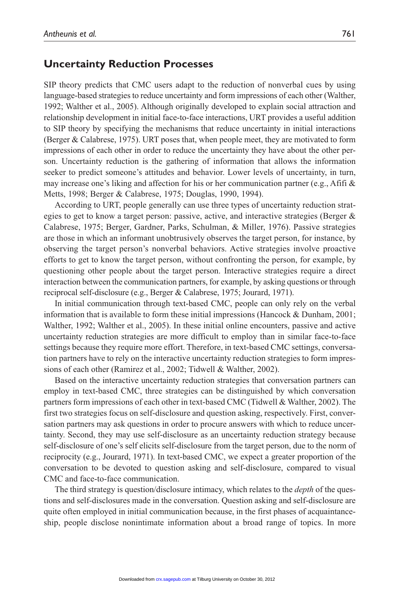## **Uncertainty Reduction Processes**

SIP theory predicts that CMC users adapt to the reduction of nonverbal cues by using language-based strategies to reduce uncertainty and form impressions of each other (Walther, 1992; Walther et al., 2005). Although originally developed to explain social attraction and relationship development in initial face-to-face interactions, URT provides a useful addition to SIP theory by specifying the mechanisms that reduce uncertainty in initial interactions (Berger & Calabrese, 1975). URT poses that, when people meet, they are motivated to form impressions of each other in order to reduce the uncertainty they have about the other person. Uncertainty reduction is the gathering of information that allows the information seeker to predict someone's attitudes and behavior. Lower levels of uncertainty, in turn, may increase one's liking and affection for his or her communication partner (e.g., Afifi  $\&$ Metts, 1998; Berger & Calabrese, 1975; Douglas, 1990, 1994).

According to URT, people generally can use three types of uncertainty reduction strategies to get to know a target person: passive, active, and interactive strategies (Berger & Calabrese, 1975; Berger, Gardner, Parks, Schulman, & Miller, 1976). Passive strategies are those in which an informant unobtrusively observes the target person, for instance, by observing the target person's nonverbal behaviors. Active strategies involve proactive efforts to get to know the target person, without confronting the person, for example, by questioning other people about the target person. Interactive strategies require a direct interaction between the communication partners, for example, by asking questions or through reciprocal self-disclosure (e.g., Berger & Calabrese, 1975; Jourard, 1971).

In initial communication through text-based CMC, people can only rely on the verbal information that is available to form these initial impressions (Hancock & Dunham, 2001; Walther, 1992; Walther et al., 2005). In these initial online encounters, passive and active uncertainty reduction strategies are more difficult to employ than in similar face-to-face settings because they require more effort. Therefore, in text-based CMC settings, conversation partners have to rely on the interactive uncertainty reduction strategies to form impressions of each other (Ramirez et al., 2002; Tidwell & Walther, 2002).

Based on the interactive uncertainty reduction strategies that conversation partners can employ in text-based CMC, three strategies can be distinguished by which conversation partners form impressions of each other in text-based CMC (Tidwell & Walther, 2002). The first two strategies focus on self-disclosure and question asking, respectively. First, conversation partners may ask questions in order to procure answers with which to reduce uncertainty. Second, they may use self-disclosure as an uncertainty reduction strategy because self-disclosure of one's self elicits self-disclosure from the target person, due to the norm of reciprocity (e.g., Jourard, 1971). In text-based CMC, we expect a greater proportion of the conversation to be devoted to question asking and self-disclosure, compared to visual CMC and face-to-face communication.

The third strategy is question/disclosure intimacy, which relates to the *depth* of the questions and self-disclosures made in the conversation. Question asking and self-disclosure are quite often employed in initial communication because, in the first phases of acquaintanceship, people disclose nonintimate information about a broad range of topics. In more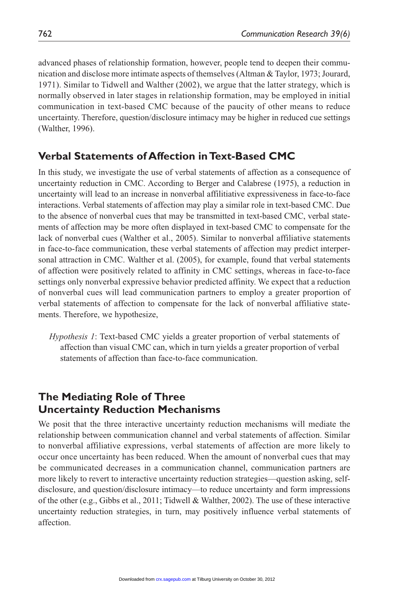advanced phases of relationship formation, however, people tend to deepen their communication and disclose more intimate aspects of themselves (Altman & Taylor, 1973; Jourard, 1971). Similar to Tidwell and Walther (2002), we argue that the latter strategy, which is normally observed in later stages in relationship formation, may be employed in initial communication in text-based CMC because of the paucity of other means to reduce uncertainty. Therefore, question/disclosure intimacy may be higher in reduced cue settings (Walther, 1996).

# **Verbal Statements of Affection in Text-Based CMC**

In this study, we investigate the use of verbal statements of affection as a consequence of uncertainty reduction in CMC. According to Berger and Calabrese (1975), a reduction in uncertainty will lead to an increase in nonverbal affilitiative expressiveness in face-to-face interactions. Verbal statements of affection may play a similar role in text-based CMC. Due to the absence of nonverbal cues that may be transmitted in text-based CMC, verbal statements of affection may be more often displayed in text-based CMC to compensate for the lack of nonverbal cues (Walther et al., 2005). Similar to nonverbal affiliative statements in face-to-face communication, these verbal statements of affection may predict interpersonal attraction in CMC. Walther et al. (2005), for example, found that verbal statements of affection were positively related to affinity in CMC settings, whereas in face-to-face settings only nonverbal expressive behavior predicted affinity. We expect that a reduction of nonverbal cues will lead communication partners to employ a greater proportion of verbal statements of affection to compensate for the lack of nonverbal affiliative statements. Therefore, we hypothesize,

*Hypothesis 1*: Text-based CMC yields a greater proportion of verbal statements of affection than visual CMC can, which in turn yields a greater proportion of verbal statements of affection than face-to-face communication.

# **The Mediating Role of Three Uncertainty Reduction Mechanisms**

We posit that the three interactive uncertainty reduction mechanisms will mediate the relationship between communication channel and verbal statements of affection. Similar to nonverbal affiliative expressions, verbal statements of affection are more likely to occur once uncertainty has been reduced. When the amount of nonverbal cues that may be communicated decreases in a communication channel, communication partners are more likely to revert to interactive uncertainty reduction strategies––question asking, selfdisclosure, and question/disclosure intimacy––to reduce uncertainty and form impressions of the other (e.g., Gibbs et al., 2011; Tidwell & Walther, 2002). The use of these interactive uncertainty reduction strategies, in turn, may positively influence verbal statements of affection.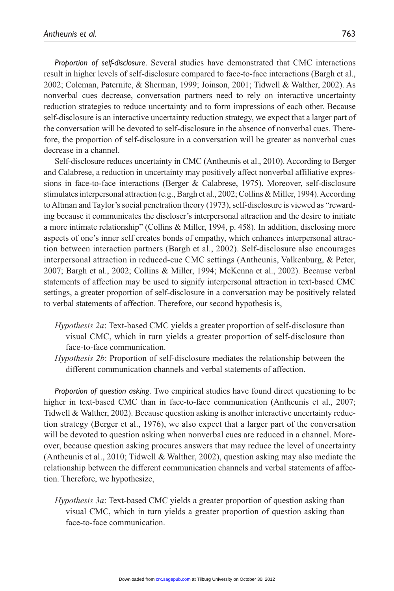*Proportion of self-disclosure*. Several studies have demonstrated that CMC interactions result in higher levels of self-disclosure compared to face-to-face interactions (Bargh et al., 2002; Coleman, Paternite, & Sherman, 1999; Joinson, 2001; Tidwell & Walther, 2002). As nonverbal cues decrease, conversation partners need to rely on interactive uncertainty reduction strategies to reduce uncertainty and to form impressions of each other. Because self-disclosure is an interactive uncertainty reduction strategy, we expect that a larger part of the conversation will be devoted to self-disclosure in the absence of nonverbal cues. Therefore, the proportion of self-disclosure in a conversation will be greater as nonverbal cues decrease in a channel.

Self-disclosure reduces uncertainty in CMC (Antheunis et al., 2010). According to Berger and Calabrese, a reduction in uncertainty may positively affect nonverbal affiliative expressions in face-to-face interactions (Berger & Calabrese, 1975). Moreover, self-disclosure stimulates interpersonal attraction (e.g., Bargh et al., 2002; Collins & Miller, 1994). According to Altman and Taylor's social penetration theory (1973), self-disclosure is viewed as "rewarding because it communicates the discloser's interpersonal attraction and the desire to initiate a more intimate relationship" (Collins & Miller, 1994, p. 458). In addition, disclosing more aspects of one's inner self creates bonds of empathy, which enhances interpersonal attraction between interaction partners (Bargh et al., 2002). Self-disclosure also encourages interpersonal attraction in reduced-cue CMC settings (Antheunis, Valkenburg, & Peter, 2007; Bargh et al., 2002; Collins & Miller, 1994; McKenna et al., 2002). Because verbal statements of affection may be used to signify interpersonal attraction in text-based CMC settings, a greater proportion of self-disclosure in a conversation may be positively related to verbal statements of affection. Therefore, our second hypothesis is,

- *Hypothesis 2a*: Text-based CMC yields a greater proportion of self-disclosure than visual CMC, which in turn yields a greater proportion of self-disclosure than face-to-face communication.
- *Hypothesis 2b*: Proportion of self-disclosure mediates the relationship between the different communication channels and verbal statements of affection.

*Proportion of question asking*. Two empirical studies have found direct questioning to be higher in text-based CMC than in face-to-face communication (Antheunis et al., 2007; Tidwell & Walther, 2002). Because question asking is another interactive uncertainty reduction strategy (Berger et al., 1976), we also expect that a larger part of the conversation will be devoted to question asking when nonverbal cues are reduced in a channel. Moreover, because question asking procures answers that may reduce the level of uncertainty (Antheunis et al., 2010; Tidwell & Walther, 2002), question asking may also mediate the relationship between the different communication channels and verbal statements of affection. Therefore, we hypothesize,

*Hypothesis 3a*: Text-based CMC yields a greater proportion of question asking than visual CMC, which in turn yields a greater proportion of question asking than face-to-face communication.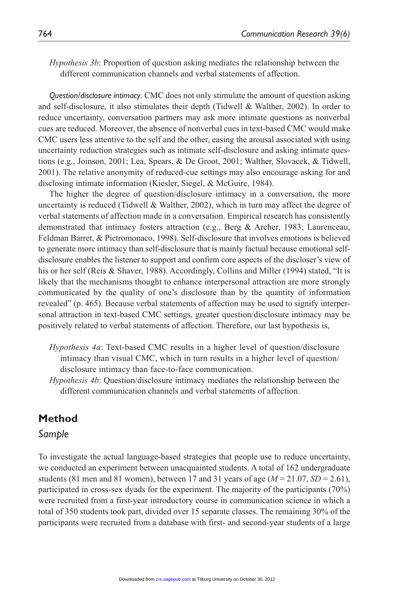*Hypothesis 3b*: Proportion of question asking mediates the relationship between the different communication channels and verbal statements of affection.

*Question/disclosure intimacy*. CMC does not only stimulate the amount of question asking and self-disclosure, it also stimulates their depth (Tidwell & Walther, 2002). In order to reduce uncertainty, conversation partners may ask more intimate questions as nonverbal cues are reduced. Moreover, the absence of nonverbal cues in text-based CMC would make CMC users less attentive to the self and the other, easing the arousal associated with using uncertainty reduction strategies such as intimate self-disclosure and asking intimate questions (e.g., Joinson, 2001; Lea, Spears, & De Groot, 2001; Walther, Slovacek, & Tidwell, 2001). The relative anonymity of reduced-cue settings may also encourage asking for and disclosing intimate information (Kiesler, Siegel, & McGuire, 1984).

The higher the degree of question/disclosure intimacy in a conversation, the more uncertainty is reduced (Tidwell & Walther, 2002), which in turn may affect the degree of verbal statements of affection made in a conversation. Empirical research has consistently demonstrated that intimacy fosters attraction (e.g., Berg & Archer, 1983; Laurenceau, Feldman Barret, & Pietromonaco, 1998). Self-disclosure that involves emotions is believed to generate more intimacy than self-disclosure that is mainly factual because emotional selfdisclosure enables the listener to support and confirm core aspects of the discloser's view of his or her self (Reis & Shaver, 1988). Accordingly, Collins and Miller (1994) stated, "It is likely that the mechanisms thought to enhance interpersonal attraction are more strongly communicated by the quality of one's disclosure than by the quantity of information revealed" (p. 465). Because verbal statements of affection may be used to signify interpersonal attraction in text-based CMC settings, greater question/disclosure intimacy may be positively related to verbal statements of affection. Therefore, our last hypothesis is,

- *Hypothesis 4a*: Text-based CMC results in a higher level of question/disclosure intimacy than visual CMC, which in turn results in a higher level of question/ disclosure intimacy than face-to-face communication.
- *Hypothesis 4b*: Question/disclosure intimacy mediates the relationship between the different communication channels and verbal statements of affection.

# **Method**

#### *Sample*

To investigate the actual language-based strategies that people use to reduce uncertainty, we conducted an experiment between unacquainted students. A total of 162 undergraduate students (81 men and 81 women), between 17 and 31 years of age ( $M = 21.07$ ,  $SD = 2.61$ ), participated in cross-sex dyads for the experiment. The majority of the participants (70%) were recruited from a first-year introductory course in communication science in which a total of 350 students took part, divided over 15 separate classes. The remaining 30% of the participants were recruited from a database with first- and second-year students of a large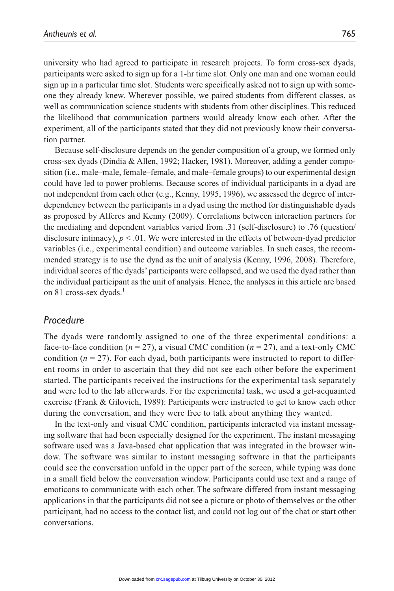university who had agreed to participate in research projects. To form cross-sex dyads, participants were asked to sign up for a 1-hr time slot. Only one man and one woman could sign up in a particular time slot. Students were specifically asked not to sign up with someone they already knew. Wherever possible, we paired students from different classes, as well as communication science students with students from other disciplines. This reduced the likelihood that communication partners would already know each other. After the experiment, all of the participants stated that they did not previously know their conversation partner.

Because self-disclosure depends on the gender composition of a group, we formed only cross-sex dyads (Dindia & Allen, 1992; Hacker, 1981). Moreover, adding a gender composition (i.e., male–male, female–female, and male–female groups) to our experimental design could have led to power problems. Because scores of individual participants in a dyad are not independent from each other (e.g., Kenny, 1995, 1996), we assessed the degree of interdependency between the participants in a dyad using the method for distinguishable dyads as proposed by Alferes and Kenny (2009). Correlations between interaction partners for the mediating and dependent variables varied from .31 (self-disclosure) to .76 (question/ disclosure intimacy),  $p < 0.01$ . We were interested in the effects of between-dyad predictor variables (i.e., experimental condition) and outcome variables. In such cases, the recommended strategy is to use the dyad as the unit of analysis (Kenny, 1996, 2008). Therefore, individual scores of the dyads' participants were collapsed, and we used the dyad rather than the individual participant as the unit of analysis. Hence, the analyses in this article are based on 81 cross-sex dyads.<sup>1</sup>

## *Procedure*

The dyads were randomly assigned to one of the three experimental conditions: a face-to-face condition ( $n = 27$ ), a visual CMC condition ( $n = 27$ ), and a text-only CMC condition  $(n = 27)$ . For each dyad, both participants were instructed to report to different rooms in order to ascertain that they did not see each other before the experiment started. The participants received the instructions for the experimental task separately and were led to the lab afterwards. For the experimental task, we used a get-acquainted exercise (Frank & Gilovich, 1989): Participants were instructed to get to know each other during the conversation, and they were free to talk about anything they wanted.

In the text-only and visual CMC condition, participants interacted via instant messaging software that had been especially designed for the experiment. The instant messaging software used was a Java-based chat application that was integrated in the browser window. The software was similar to instant messaging software in that the participants could see the conversation unfold in the upper part of the screen, while typing was done in a small field below the conversation window. Participants could use text and a range of emoticons to communicate with each other. The software differed from instant messaging applications in that the participants did not see a picture or photo of themselves or the other participant, had no access to the contact list, and could not log out of the chat or start other conversations.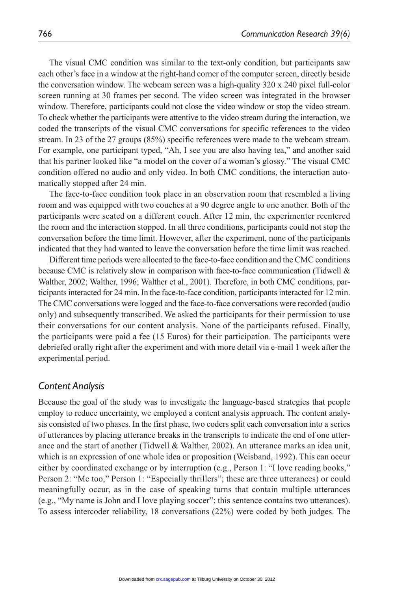The visual CMC condition was similar to the text-only condition, but participants saw each other's face in a window at the right-hand corner of the computer screen, directly beside the conversation window. The webcam screen was a high-quality 320 x 240 pixel full-color screen running at 30 frames per second. The video screen was integrated in the browser window. Therefore, participants could not close the video window or stop the video stream. To check whether the participants were attentive to the video stream during the interaction, we coded the transcripts of the visual CMC conversations for specific references to the video stream. In 23 of the 27 groups (85%) specific references were made to the webcam stream. For example, one participant typed, "Ah, I see you are also having tea," and another said that his partner looked like "a model on the cover of a woman's glossy." The visual CMC condition offered no audio and only video. In both CMC conditions, the interaction automatically stopped after 24 min.

The face-to-face condition took place in an observation room that resembled a living room and was equipped with two couches at a 90 degree angle to one another. Both of the participants were seated on a different couch. After 12 min, the experimenter reentered the room and the interaction stopped. In all three conditions, participants could not stop the conversation before the time limit. However, after the experiment, none of the participants indicated that they had wanted to leave the conversation before the time limit was reached.

Different time periods were allocated to the face-to-face condition and the CMC conditions because CMC is relatively slow in comparison with face-to-face communication (Tidwell & Walther, 2002; Walther, 1996; Walther et al., 2001). Therefore, in both CMC conditions, participants interacted for 24 min. In the face-to-face condition, participants interacted for 12 min. The CMC conversations were logged and the face-to-face conversations were recorded (audio only) and subsequently transcribed. We asked the participants for their permission to use their conversations for our content analysis. None of the participants refused. Finally, the participants were paid a fee (15 Euros) for their participation. The participants were debriefed orally right after the experiment and with more detail via e-mail 1 week after the experimental period.

### *Content Analysis*

Because the goal of the study was to investigate the language-based strategies that people employ to reduce uncertainty, we employed a content analysis approach. The content analysis consisted of two phases. In the first phase, two coders split each conversation into a series of utterances by placing utterance breaks in the transcripts to indicate the end of one utterance and the start of another (Tidwell & Walther, 2002). An utterance marks an idea unit, which is an expression of one whole idea or proposition (Weisband, 1992). This can occur either by coordinated exchange or by interruption (e.g., Person 1: "I love reading books," Person 2: "Me too," Person 1: "Especially thrillers"; these are three utterances) or could meaningfully occur, as in the case of speaking turns that contain multiple utterances (e.g., "My name is John and I love playing soccer"; this sentence contains two utterances). To assess intercoder reliability, 18 conversations (22%) were coded by both judges. The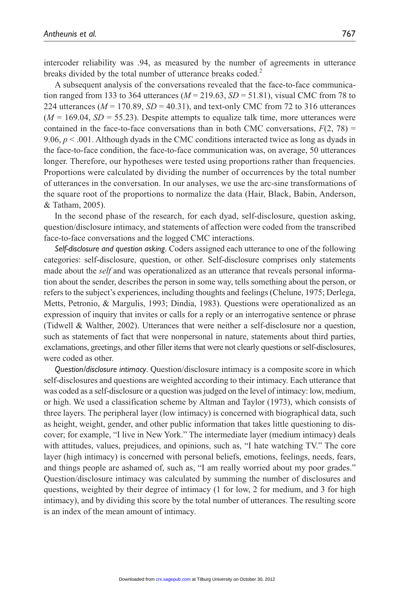intercoder reliability was .94, as measured by the number of agreements in utterance breaks divided by the total number of utterance breaks coded.<sup>2</sup>

A subsequent analysis of the conversations revealed that the face-to-face communication ranged from 133 to 364 utterances ( $M = 219.63$ ,  $SD = 51.81$ ), visual CMC from 78 to 224 utterances ( $M = 170.89$ ,  $SD = 40.31$ ), and text-only CMC from 72 to 316 utterances  $(M = 169.04, SD = 55.23)$ . Despite attempts to equalize talk time, more utterances were contained in the face-to-face conversations than in both CMC conversations,  $F(2, 78) =$ 9.06,  $p < 0.001$ . Although dyads in the CMC conditions interacted twice as long as dyads in the face-to-face condition, the face-to-face communication was, on average, 50 utterances longer. Therefore, our hypotheses were tested using proportions rather than frequencies. Proportions were calculated by dividing the number of occurrences by the total number of utterances in the conversation. In our analyses, we use the arc-sine transformations of the square root of the proportions to normalize the data (Hair, Black, Babin, Anderson, & Tatham, 2005).

In the second phase of the research, for each dyad, self-disclosure, question asking, question/disclosure intimacy, and statements of affection were coded from the transcribed face-to-face conversations and the logged CMC interactions.

*Self-disclosure and question asking*. Coders assigned each utterance to one of the following categories: self-disclosure, question, or other. Self-disclosure comprises only statements made about the *self* and was operationalized as an utterance that reveals personal information about the sender, describes the person in some way, tells something about the person, or refers to the subject's experiences, including thoughts and feelings (Chelune, 1975; Derlega, Metts, Petronio, & Margulis, 1993; Dindia, 1983). Questions were operationalized as an expression of inquiry that invites or calls for a reply or an interrogative sentence or phrase (Tidwell & Walther, 2002). Utterances that were neither a self-disclosure nor a question, such as statements of fact that were nonpersonal in nature, statements about third parties, exclamations, greetings, and other filler items that were not clearly questions or self-disclosures, were coded as other.

*Question/disclosure intimacy*. Question/disclosure intimacy is a composite score in which self-disclosures and questions are weighted according to their intimacy. Each utterance that was coded as a self-disclosure or a question was judged on the level of intimacy: low, medium, or high. We used a classification scheme by Altman and Taylor (1973), which consists of three layers. The peripheral layer (low intimacy) is concerned with biographical data, such as height, weight, gender, and other public information that takes little questioning to discover; for example, "I live in New York." The intermediate layer (medium intimacy) deals with attitudes, values, prejudices, and opinions, such as, "I hate watching TV." The core layer (high intimacy) is concerned with personal beliefs, emotions, feelings, needs, fears, and things people are ashamed of, such as, "I am really worried about my poor grades." Question/disclosure intimacy was calculated by summing the number of disclosures and questions, weighted by their degree of intimacy (1 for low, 2 for medium, and 3 for high intimacy), and by dividing this score by the total number of utterances. The resulting score is an index of the mean amount of intimacy.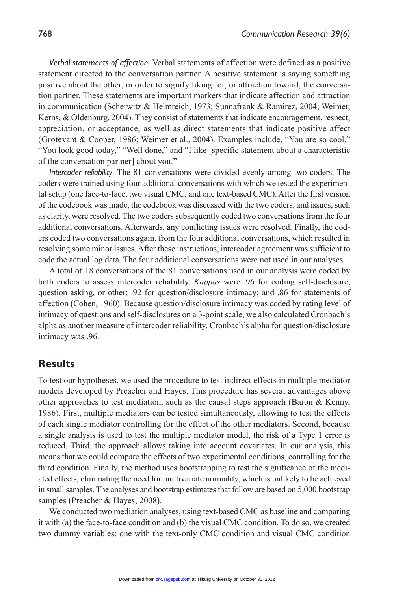*Verbal statements of affection*. Verbal statements of affection were defined as a positive statement directed to the conversation partner. A positive statement is saying something positive about the other, in order to signify liking for, or attraction toward, the conversation partner. These statements are important markers that indicate affection and attraction in communication (Scherwitz & Helmreich, 1973; Sunnafrank & Ramirez, 2004; Weimer, Kerns, & Oldenburg, 2004). They consist of statements that indicate encouragement, respect, appreciation, or acceptance, as well as direct statements that indicate positive affect (Grotevant & Cooper, 1986; Weimer et al., 2004). Examples include, "You are so cool," "You look good today," "Well done," and "I like [specific statement about a characteristic of the conversation partner] about you."

*Intercoder reliability*. The 81 conversations were divided evenly among two coders. The coders were trained using four additional conversations with which we tested the experimental setup (one face-to-face, two visual CMC, and one text-based CMC). After the first version of the codebook was made, the codebook was discussed with the two coders, and issues, such as clarity, were resolved. The two coders subsequently coded two conversations from the four additional conversations. Afterwards, any conflicting issues were resolved. Finally, the coders coded two conversations again, from the four additional conversations, which resulted in resolving some minor issues. After these instructions, intercoder agreement was sufficient to code the actual log data. The four additional conversations were not used in our analyses.

A total of 18 conversations of the 81 conversations used in our analysis were coded by both coders to assess intercoder reliability. *Kappas* were .96 for coding self-disclosure, question asking, or other; .92 for question/disclosure intimacy; and .86 for statements of affection (Cohen, 1960). Because question/disclosure intimacy was coded by rating level of intimacy of questions and self-disclosures on a 3-point scale, we also calculated Cronbach's alpha as another measure of intercoder reliability. Cronbach's alpha for question/disclosure intimacy was .96.

# **Results**

To test our hypotheses, we used the procedure to test indirect effects in multiple mediator models developed by Preacher and Hayes. This procedure has several advantages above other approaches to test mediation, such as the causal steps approach (Baron & Kenny, 1986). First, multiple mediators can be tested simultaneously, allowing to test the effects of each single mediator controlling for the effect of the other mediators. Second, because a single analysis is used to test the multiple mediator model, the risk of a Type 1 error is reduced. Third, the approach allows taking into account covariates. In our analysis, this means that we could compare the effects of two experimental conditions, controlling for the third condition. Finally, the method uses bootstrapping to test the significance of the mediated effects, eliminating the need for multivariate normality, which is unlikely to be achieved in small samples. The analyses and bootstrap estimates that follow are based on 5,000 bootstrap samples (Preacher & Hayes, 2008).

We conducted two mediation analyses, using text-based CMC as baseline and comparing it with (a) the face-to-face condition and (b) the visual CMC condition. To do so, we created two dummy variables: one with the text-only CMC condition and visual CMC condition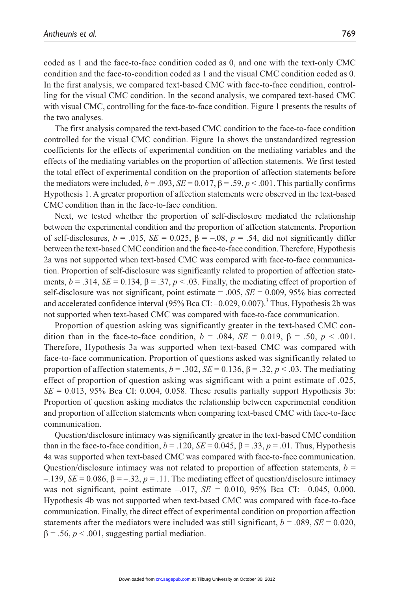coded as 1 and the face-to-face condition coded as 0, and one with the text-only CMC condition and the face-to-condition coded as 1 and the visual CMC condition coded as 0. In the first analysis, we compared text-based CMC with face-to-face condition, controlling for the visual CMC condition. In the second analysis, we compared text-based CMC with visual CMC, controlling for the face-to-face condition. Figure 1 presents the results of the two analyses.

The first analysis compared the text-based CMC condition to the face-to-face condition controlled for the visual CMC condition. Figure 1a shows the unstandardized regression coefficients for the effects of experimental condition on the mediating variables and the effects of the mediating variables on the proportion of affection statements. We first tested the total effect of experimental condition on the proportion of affection statements before the mediators were included,  $b = .093$ ,  $SE = 0.017$ ,  $\beta = .59$ ,  $p < .001$ . This partially confirms Hypothesis 1. A greater proportion of affection statements were observed in the text-based CMC condition than in the face-to-face condition.

Next, we tested whether the proportion of self-disclosure mediated the relationship between the experimental condition and the proportion of affection statements. Proportion of self-disclosures,  $b = .015$ ,  $SE = 0.025$ ,  $\beta = -.08$ ,  $p = .54$ , did not significantly differ between the text-based CMC condition and the face-to-face condition. Therefore, Hypothesis 2a was not supported when text-based CMC was compared with face-to-face communication. Proportion of self-disclosure was significantly related to proportion of affection statements,  $b = .314$ ,  $SE = 0.134$ ,  $\beta = .37$ ,  $p < .03$ . Finally, the mediating effect of proportion of self-disclosure was not significant, point estimate  $= .005$ ,  $SE = 0.009$ , 95% bias corrected and accelerated confidence interval  $(95\%$  Bca CI:  $-0.029, 0.007$ ).<sup>3</sup> Thus, Hypothesis 2b was not supported when text-based CMC was compared with face-to-face communication.

Proportion of question asking was significantly greater in the text-based CMC condition than in the face-to-face condition,  $b = .084$ ,  $SE = 0.019$ ,  $\beta = .50$ ,  $p < .001$ . Therefore, Hypothesis 3a was supported when text-based CMC was compared with face-to-face communication. Proportion of questions asked was significantly related to proportion of affection statements,  $b = .302$ ,  $SE = 0.136$ ,  $\beta = .32$ ,  $p < .03$ . The mediating effect of proportion of question asking was significant with a point estimate of .025,  $SE = 0.013$ , 95% Bca CI: 0.004, 0.058. These results partially support Hypothesis 3b: Proportion of question asking mediates the relationship between experimental condition and proportion of affection statements when comparing text-based CMC with face-to-face communication.

Question/disclosure intimacy was significantly greater in the text-based CMC condition than in the face-to-face condition,  $b = .120$ ,  $SE = 0.045$ ,  $\beta = .33$ ,  $p = .01$ . Thus, Hypothesis 4a was supported when text-based CMC was compared with face-to-face communication. Question/disclosure intimacy was not related to proportion of affection statements,  $b =$ –.139, *SE* = 0.086, β = –.32, *p* = .11. The mediating effect of question/disclosure intimacy was not significant, point estimate -.017, *SE* = 0.010, 95% Bca CI: -0.045, 0.000. Hypothesis 4b was not supported when text-based CMC was compared with face-to-face communication. Finally, the direct effect of experimental condition on proportion affection statements after the mediators were included was still significant,  $b = .089$ ,  $SE = 0.020$ ,  $β = .56, p < .001$ , suggesting partial mediation.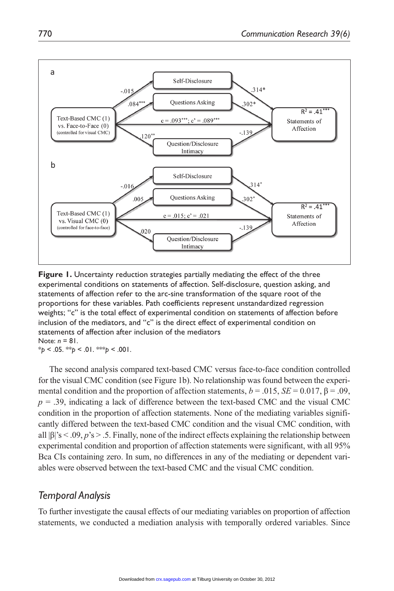

**Figure 1.** Uncertainty reduction strategies partially mediating the effect of the three experimental conditions on statements of affection. Self-disclosure, question asking, and statements of affection refer to the arc-sine transformation of the square root of the proportions for these variables. Path coefficients represent unstandardized regression weights; "c" is the total effect of experimental condition on statements of affection before inclusion of the mediators, and "c" is the direct effect of experimental condition on statements of affection after inclusion of the mediators Note:  $n = 81$ . \**p* < .05. \*\**p* < .01. \*\*\**p* < .001.

The second analysis compared text-based CMC versus face-to-face condition controlled for the visual CMC condition (see Figure 1b). No relationship was found between the experimental condition and the proportion of affection statements,  $b = .015$ ,  $SE = 0.017$ ,  $\beta = .09$ ,  $p = 0.39$ , indicating a lack of difference between the text-based CMC and the visual CMC condition in the proportion of affection statements. None of the mediating variables significantly differed between the text-based CMC condition and the visual CMC condition, with all |β|'s < .09, *p*'s > .5. Finally, none of the indirect effects explaining the relationship between experimental condition and proportion of affection statements were significant, with all 95% Bca CIs containing zero. In sum, no differences in any of the mediating or dependent variables were observed between the text-based CMC and the visual CMC condition.

# *Temporal Analysis*

To further investigate the causal effects of our mediating variables on proportion of affection statements, we conducted a mediation analysis with temporally ordered variables. Since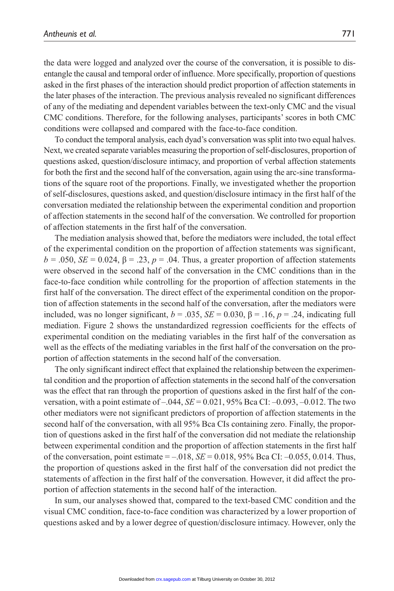the data were logged and analyzed over the course of the conversation, it is possible to disentangle the causal and temporal order of influence. More specifically, proportion of questions asked in the first phases of the interaction should predict proportion of affection statements in the later phases of the interaction. The previous analysis revealed no significant differences of any of the mediating and dependent variables between the text-only CMC and the visual CMC conditions. Therefore, for the following analyses, participants' scores in both CMC conditions were collapsed and compared with the face-to-face condition.

To conduct the temporal analysis, each dyad's conversation was split into two equal halves. Next, we created separate variables measuring the proportion of self-disclosures, proportion of questions asked, question/disclosure intimacy, and proportion of verbal affection statements for both the first and the second half of the conversation, again using the arc-sine transformations of the square root of the proportions. Finally, we investigated whether the proportion of self-disclosures, questions asked, and question/disclosure intimacy in the first half of the conversation mediated the relationship between the experimental condition and proportion of affection statements in the second half of the conversation. We controlled for proportion of affection statements in the first half of the conversation.

The mediation analysis showed that, before the mediators were included, the total effect of the experimental condition on the proportion of affection statements was significant,  $b = .050$ ,  $SE = 0.024$ ,  $\beta = .23$ ,  $p = .04$ . Thus, a greater proportion of affection statements were observed in the second half of the conversation in the CMC conditions than in the face-to-face condition while controlling for the proportion of affection statements in the first half of the conversation. The direct effect of the experimental condition on the proportion of affection statements in the second half of the conversation, after the mediators were included, was no longer significant,  $b = .035$ ,  $SE = 0.030$ ,  $\beta = .16$ ,  $p = .24$ , indicating full mediation. Figure 2 shows the unstandardized regression coefficients for the effects of experimental condition on the mediating variables in the first half of the conversation as well as the effects of the mediating variables in the first half of the conversation on the proportion of affection statements in the second half of the conversation.

The only significant indirect effect that explained the relationship between the experimental condition and the proportion of affection statements in the second half of the conversation was the effect that ran through the proportion of questions asked in the first half of the conversation, with a point estimate of  $-.044$ ,  $SE = 0.021$ ,  $95\%$  Bca CI:  $-.0093$ ,  $-.0012$ . The two other mediators were not significant predictors of proportion of affection statements in the second half of the conversation, with all 95% Bca CIs containing zero. Finally, the proportion of questions asked in the first half of the conversation did not mediate the relationship between experimental condition and the proportion of affection statements in the first half of the conversation, point estimate  $=$  -0.018,  $SE = 0.018$ ,  $95\%$  Bca CI: -0.055, 0.014. Thus, the proportion of questions asked in the first half of the conversation did not predict the statements of affection in the first half of the conversation. However, it did affect the proportion of affection statements in the second half of the interaction.

In sum, our analyses showed that, compared to the text-based CMC condition and the visual CMC condition, face-to-face condition was characterized by a lower proportion of questions asked and by a lower degree of question/disclosure intimacy. However, only the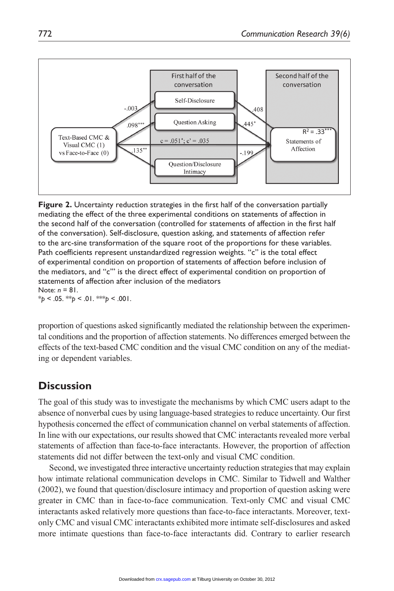

**Figure 2.** Uncertainty reduction strategies in the first half of the conversation partially mediating the effect of the three experimental conditions on statements of affection in the second half of the conversation (controlled for statements of affection in the first half of the conversation). Self-disclosure, question asking, and statements of affection refer to the arc-sine transformation of the square root of the proportions for these variables. Path coefficients represent unstandardized regression weights. "c" is the total effect of experimental condition on proportion of statements of affection before inclusion of the mediators, and "c'" is the direct effect of experimental condition on proportion of statements of affection after inclusion of the mediators Note:  $n = 81$ .  $*_{p}$  < .05.  $*_{p}$  < .01.  $*_{p}$  < .001.

proportion of questions asked significantly mediated the relationship between the experimental conditions and the proportion of affection statements. No differences emerged between the effects of the text-based CMC condition and the visual CMC condition on any of the mediating or dependent variables.

# **Discussion**

The goal of this study was to investigate the mechanisms by which CMC users adapt to the absence of nonverbal cues by using language-based strategies to reduce uncertainty. Our first hypothesis concerned the effect of communication channel on verbal statements of affection. In line with our expectations, our results showed that CMC interactants revealed more verbal statements of affection than face-to-face interactants. However, the proportion of affection statements did not differ between the text-only and visual CMC condition.

Second, we investigated three interactive uncertainty reduction strategies that may explain how intimate relational communication develops in CMC. Similar to Tidwell and Walther (2002), we found that question/disclosure intimacy and proportion of question asking were greater in CMC than in face-to-face communication. Text-only CMC and visual CMC interactants asked relatively more questions than face-to-face interactants. Moreover, textonly CMC and visual CMC interactants exhibited more intimate self-disclosures and asked more intimate questions than face-to-face interactants did. Contrary to earlier research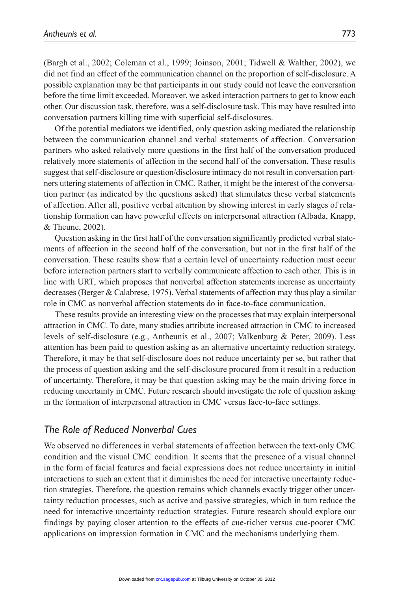(Bargh et al., 2002; Coleman et al., 1999; Joinson, 2001; Tidwell & Walther, 2002), we did not find an effect of the communication channel on the proportion of self-disclosure. A possible explanation may be that participants in our study could not leave the conversation before the time limit exceeded. Moreover, we asked interaction partners to get to know each other. Our discussion task, therefore, was a self-disclosure task. This may have resulted into conversation partners killing time with superficial self-disclosures.

Of the potential mediators we identified, only question asking mediated the relationship between the communication channel and verbal statements of affection. Conversation partners who asked relatively more questions in the first half of the conversation produced relatively more statements of affection in the second half of the conversation. These results suggest that self-disclosure or question/disclosure intimacy do not result in conversation partners uttering statements of affection in CMC. Rather, it might be the interest of the conversation partner (as indicated by the questions asked) that stimulates these verbal statements of affection. After all, positive verbal attention by showing interest in early stages of relationship formation can have powerful effects on interpersonal attraction (Albada, Knapp, & Theune, 2002).

Question asking in the first half of the conversation significantly predicted verbal statements of affection in the second half of the conversation, but not in the first half of the conversation. These results show that a certain level of uncertainty reduction must occur before interaction partners start to verbally communicate affection to each other. This is in line with URT, which proposes that nonverbal affection statements increase as uncertainty decreases (Berger & Calabrese, 1975). Verbal statements of affection may thus play a similar role in CMC as nonverbal affection statements do in face-to-face communication.

These results provide an interesting view on the processes that may explain interpersonal attraction in CMC. To date, many studies attribute increased attraction in CMC to increased levels of self-disclosure (e.g., Antheunis et al., 2007; Valkenburg & Peter, 2009). Less attention has been paid to question asking as an alternative uncertainty reduction strategy. Therefore, it may be that self-disclosure does not reduce uncertainty per se, but rather that the process of question asking and the self-disclosure procured from it result in a reduction of uncertainty. Therefore, it may be that question asking may be the main driving force in reducing uncertainty in CMC. Future research should investigate the role of question asking in the formation of interpersonal attraction in CMC versus face-to-face settings.

# *The Role of Reduced Nonverbal Cues*

We observed no differences in verbal statements of affection between the text-only CMC condition and the visual CMC condition. It seems that the presence of a visual channel in the form of facial features and facial expressions does not reduce uncertainty in initial interactions to such an extent that it diminishes the need for interactive uncertainty reduction strategies. Therefore, the question remains which channels exactly trigger other uncertainty reduction processes, such as active and passive strategies, which in turn reduce the need for interactive uncertainty reduction strategies. Future research should explore our findings by paying closer attention to the effects of cue-richer versus cue-poorer CMC applications on impression formation in CMC and the mechanisms underlying them.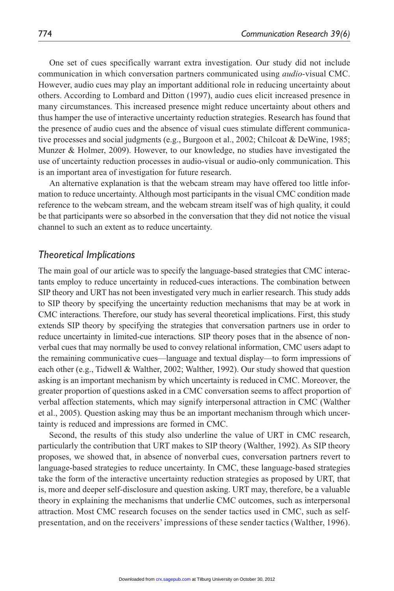One set of cues specifically warrant extra investigation. Our study did not include communication in which conversation partners communicated using *audio-*visual CMC. However, audio cues may play an important additional role in reducing uncertainty about others. According to Lombard and Ditton (1997), audio cues elicit increased presence in many circumstances. This increased presence might reduce uncertainty about others and thus hamper the use of interactive uncertainty reduction strategies. Research has found that the presence of audio cues and the absence of visual cues stimulate different communicative processes and social judgments (e.g., Burgoon et al., 2002; Chilcoat & DeWine, 1985; Munzer & Holmer, 2009). However, to our knowledge, no studies have investigated the use of uncertainty reduction processes in audio-visual or audio-only communication. This is an important area of investigation for future research.

An alternative explanation is that the webcam stream may have offered too little information to reduce uncertainty. Although most participants in the visual CMC condition made reference to the webcam stream, and the webcam stream itself was of high quality, it could be that participants were so absorbed in the conversation that they did not notice the visual channel to such an extent as to reduce uncertainty.

#### *Theoretical Implications*

The main goal of our article was to specify the language-based strategies that CMC interactants employ to reduce uncertainty in reduced-cues interactions. The combination between SIP theory and URT has not been investigated very much in earlier research. This study adds to SIP theory by specifying the uncertainty reduction mechanisms that may be at work in CMC interactions. Therefore, our study has several theoretical implications. First, this study extends SIP theory by specifying the strategies that conversation partners use in order to reduce uncertainty in limited-cue interactions. SIP theory poses that in the absence of nonverbal cues that may normally be used to convey relational information, CMC users adapt to the remaining communicative cues––language and textual display––to form impressions of each other (e.g., Tidwell & Walther, 2002; Walther, 1992). Our study showed that question asking is an important mechanism by which uncertainty is reduced in CMC. Moreover, the greater proportion of questions asked in a CMC conversation seems to affect proportion of verbal affection statements, which may signify interpersonal attraction in CMC (Walther et al., 2005). Question asking may thus be an important mechanism through which uncertainty is reduced and impressions are formed in CMC.

Second, the results of this study also underline the value of URT in CMC research, particularly the contribution that URT makes to SIP theory (Walther, 1992). As SIP theory proposes, we showed that, in absence of nonverbal cues, conversation partners revert to language-based strategies to reduce uncertainty. In CMC, these language-based strategies take the form of the interactive uncertainty reduction strategies as proposed by URT, that is, more and deeper self-disclosure and question asking. URT may, therefore, be a valuable theory in explaining the mechanisms that underlie CMC outcomes, such as interpersonal attraction. Most CMC research focuses on the sender tactics used in CMC, such as selfpresentation, and on the receivers' impressions of these sender tactics (Walther, 1996).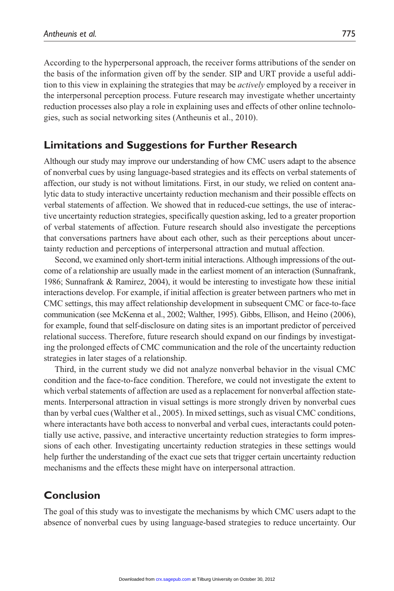According to the hyperpersonal approach, the receiver forms attributions of the sender on the basis of the information given off by the sender. SIP and URT provide a useful addition to this view in explaining the strategies that may be *actively* employed by a receiver in the interpersonal perception process. Future research may investigate whether uncertainty reduction processes also play a role in explaining uses and effects of other online technologies, such as social networking sites (Antheunis et al., 2010).

# **Limitations and Suggestions for Further Research**

Although our study may improve our understanding of how CMC users adapt to the absence of nonverbal cues by using language-based strategies and its effects on verbal statements of affection, our study is not without limitations. First, in our study, we relied on content analytic data to study interactive uncertainty reduction mechanism and their possible effects on verbal statements of affection. We showed that in reduced-cue settings, the use of interactive uncertainty reduction strategies, specifically question asking, led to a greater proportion of verbal statements of affection. Future research should also investigate the perceptions that conversations partners have about each other, such as their perceptions about uncertainty reduction and perceptions of interpersonal attraction and mutual affection.

Second, we examined only short-term initial interactions. Although impressions of the outcome of a relationship are usually made in the earliest moment of an interaction (Sunnafrank, 1986; Sunnafrank & Ramirez, 2004), it would be interesting to investigate how these initial interactions develop. For example, if initial affection is greater between partners who met in CMC settings, this may affect relationship development in subsequent CMC or face-to-face communication (see McKenna et al., 2002; Walther, 1995). Gibbs, Ellison, and Heino (2006), for example, found that self-disclosure on dating sites is an important predictor of perceived relational success. Therefore, future research should expand on our findings by investigating the prolonged effects of CMC communication and the role of the uncertainty reduction strategies in later stages of a relationship.

Third, in the current study we did not analyze nonverbal behavior in the visual CMC condition and the face-to-face condition. Therefore, we could not investigate the extent to which verbal statements of affection are used as a replacement for nonverbal affection statements. Interpersonal attraction in visual settings is more strongly driven by nonverbal cues than by verbal cues (Walther et al., 2005). In mixed settings, such as visual CMC conditions, where interactants have both access to nonverbal and verbal cues, interactants could potentially use active, passive, and interactive uncertainty reduction strategies to form impressions of each other. Investigating uncertainty reduction strategies in these settings would help further the understanding of the exact cue sets that trigger certain uncertainty reduction mechanisms and the effects these might have on interpersonal attraction.

# **Conclusion**

The goal of this study was to investigate the mechanisms by which CMC users adapt to the absence of nonverbal cues by using language-based strategies to reduce uncertainty. Our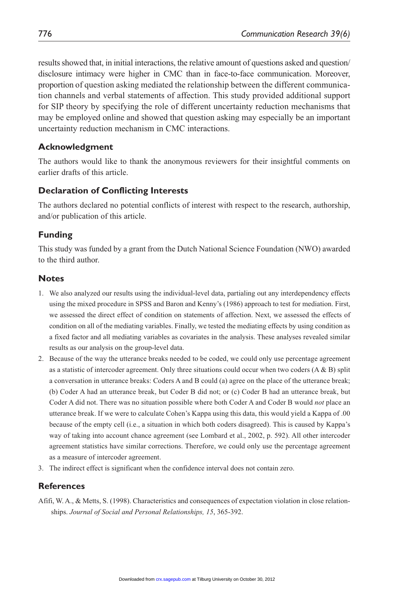results showed that, in initial interactions, the relative amount of questions asked and question/ disclosure intimacy were higher in CMC than in face-to-face communication. Moreover, proportion of question asking mediated the relationship between the different communication channels and verbal statements of affection. This study provided additional support for SIP theory by specifying the role of different uncertainty reduction mechanisms that may be employed online and showed that question asking may especially be an important uncertainty reduction mechanism in CMC interactions.

## **Acknowledgment**

The authors would like to thank the anonymous reviewers for their insightful comments on earlier drafts of this article.

# **Declaration of Conflicting Interests**

The authors declared no potential conflicts of interest with respect to the research, authorship, and/or publication of this article.

## **Funding**

This study was funded by a grant from the Dutch National Science Foundation (NWO) awarded to the third author.

### **Notes**

- 1. We also analyzed our results using the individual-level data, partialing out any interdependency effects using the mixed procedure in SPSS and Baron and Kenny's (1986) approach to test for mediation. First, we assessed the direct effect of condition on statements of affection. Next, we assessed the effects of condition on all of the mediating variables. Finally, we tested the mediating effects by using condition as a fixed factor and all mediating variables as covariates in the analysis. These analyses revealed similar results as our analysis on the group-level data.
- 2. Because of the way the utterance breaks needed to be coded, we could only use percentage agreement as a statistic of intercoder agreement. Only three situations could occur when two coders (A & B) split a conversation in utterance breaks: Coders A and B could (a) agree on the place of the utterance break; (b) Coder A had an utterance break, but Coder B did not; or (c) Coder B had an utterance break, but Coder A did not. There was no situation possible where both Coder A and Coder B would *not* place an utterance break. If we were to calculate Cohen's Kappa using this data, this would yield a Kappa of .00 because of the empty cell (i.e., a situation in which both coders disagreed). This is caused by Kappa's way of taking into account chance agreement (see Lombard et al., 2002, p. 592). All other intercoder agreement statistics have similar corrections. Therefore, we could only use the percentage agreement as a measure of intercoder agreement.
- 3. The indirect effect is significant when the confidence interval does not contain zero.

### **References**

Afifi, W. A., & Metts, S. (1998). Characteristics and consequences of expectation violation in close relationships. *Journal of Social and Personal Relationships, 15*, 365-392.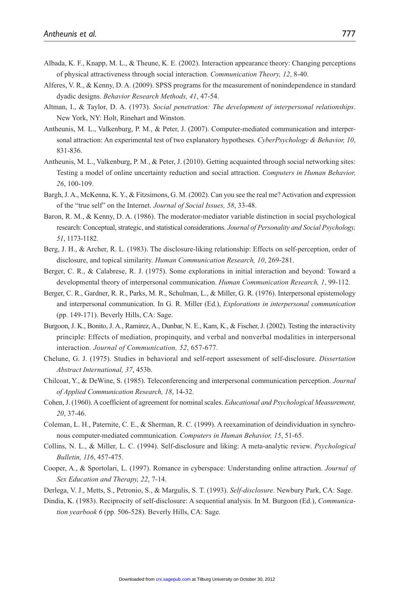- Albada, K. F., Knapp, M. L., & Theune, K. E. (2002). Interaction appearance theory: Changing perceptions of physical attractiveness through social interaction. *Communication Theory, 12*, 8-40.
- Alferes, V. R., & Kenny, D. A. (2009). SPSS programs for the measurement of nonindependence in standard dyadic designs. *Behavior Research Methods, 41*, 47-54.
- Altman, I., & Taylor, D. A. (1973). *Social penetration: The development of interpersonal relationships*. New York, NY: Holt, Rinehart and Winston.
- Antheunis, M. L., Valkenburg, P. M., & Peter, J. (2007). Computer-mediated communication and interpersonal attraction: An experimental test of two explanatory hypotheses. *CyberPsychology & Behavior, 10*, 831-836.
- Antheunis, M. L., Valkenburg, P. M., & Peter, J. (2010). Getting acquainted through social networking sites: Testing a model of online uncertainty reduction and social attraction. *Computers in Human Behavior, 26*, 100-109.
- Bargh, J. A., McKenna, K. Y., & Fitzsimons, G. M. (2002). Can you see the real me? Activation and expression of the "true self" on the Internet. *Journal of Social Issues, 58*, 33-48.
- Baron, R. M., & Kenny, D. A. (1986). The moderator-mediator variable distinction in social psychological research: Conceptual, strategic, and statistical considerations. *Journal of Personality and Social Psychology, 51*, 1173-1182.
- Berg, J. H., & Archer, R. L. (1983). The disclosure-liking relationship: Effects on self-perception, order of disclosure, and topical similarity. *Human Communication Research, 10*, 269-281.
- Berger, C. R., & Calabrese, R. J. (1975). Some explorations in initial interaction and beyond: Toward a developmental theory of interpersonal communication. *Human Communication Research, 1*, 99-112.
- Berger, C. R., Gardner, R. R., Parks, M. R., Schulman, L., & Miller, G. R. (1976). Interpersonal epistemology and interpersonal communication. In G. R. Miller (Ed.), *Explorations in interpersonal communication* (pp. 149-171). Beverly Hills, CA: Sage.
- Burgoon, J. K., Bonito, J. A., Ramirez, A., Dunbar, N. E., Kam, K., & Fischer, J. (2002). Testing the interactivity principle: Effects of mediation, propinquity, and verbal and nonverbal modalities in interpersonal interaction. *Journal of Communication, 52*, 657-677.
- Chelune, G. J. (1975). Studies in behavioral and self-report assessment of self-disclosure. *Dissertation Abstract International, 37*, 453b.
- Chilcoat, Y., & DeWine, S. (1985). Teleconferencing and interpersonal communication perception. *Journal of Applied Communication Research, 18*, 14-32.
- Cohen, J. (1960). A coefficient of agreement for nominal scales. *Educational and Psychological Measurement, 20*, 37-46.
- Coleman, L. H., Paternite, C. E., & Sherman, R. C. (1999). A reexamination of deindividuation in synchronous computer-mediated communication. *Computers in Human Behavior, 15*, 51-65.
- Collins, N. L., & Miller, L. C. (1994). Self-disclosure and liking: A meta-analytic review. *Psychological Bulletin, 116*, 457-475.
- Cooper, A., & Sportolari, L. (1997). Romance in cyberspace: Understanding online attraction. *Journal of Sex Education and Therapy, 22*, 7-14.
- Derlega, V. J., Metts, S., Petronio, S., & Margulis, S. T. (1993). *Self-disclosure*. Newbury Park, CA: Sage.
- Dindia, K. (1983). Reciprocity of self-disclosure: A sequential analysis. In M. Burgoon (Ed.), *Communication yearbook 6* (pp. 506-528). Beverly Hills, CA: Sage.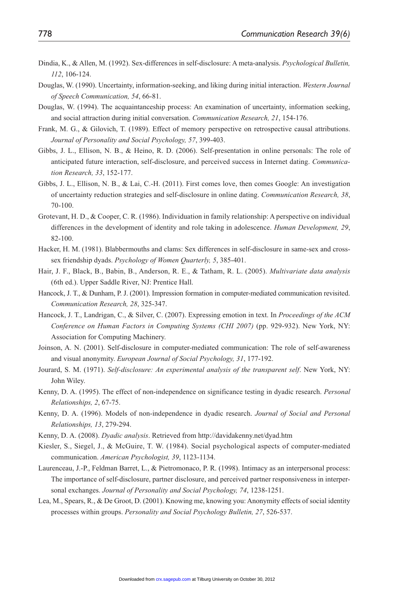- Dindia, K., & Allen, M. (1992). Sex-differences in self-disclosure: A meta-analysis. *Psychological Bulletin, 112*, 106-124.
- Douglas, W. (1990). Uncertainty, information-seeking, and liking during initial interaction. *Western Journal of Speech Communication, 54*, 66-81.
- Douglas, W. (1994). The acquaintanceship process: An examination of uncertainty, information seeking, and social attraction during initial conversation. *Communication Research, 21*, 154-176.
- Frank, M. G., & Gilovich, T. (1989). Effect of memory perspective on retrospective causal attributions. *Journal of Personality and Social Psychology, 57*, 399-403.
- Gibbs, J. L., Ellison, N. B., & Heino, R. D. (2006). Self-presentation in online personals: The role of anticipated future interaction, self-disclosure, and perceived success in Internet dating. *Communication Research, 33*, 152-177.
- Gibbs, J. L., Ellison, N. B., & Lai, C.-H. (2011). First comes love, then comes Google: An investigation of uncertainty reduction strategies and self-disclosure in online dating. *Communication Research, 38*, 70-100.
- Grotevant, H. D., & Cooper, C. R. (1986). Individuation in family relationship: A perspective on individual differences in the development of identity and role taking in adolescence. *Human Development, 29*, 82-100.
- Hacker, H. M. (1981). Blabbermouths and clams: Sex differences in self-disclosure in same-sex and crosssex friendship dyads. *Psychology of Women Quarterly, 5*, 385-401.
- Hair, J. F., Black, B., Babin, B., Anderson, R. E., & Tatham, R. L. (2005). *Multivariate data analysis* (6th ed.). Upper Saddle River, NJ: Prentice Hall.
- Hancock, J. T., & Dunham, P. J. (2001). Impression formation in computer-mediated communication revisited. *Communication Research, 28*, 325-347.
- Hancock, J. T., Landrigan, C., & Silver, C. (2007). Expressing emotion in text. In *Proceedings of the ACM Conference on Human Factors in Computing Systems (CHI 2007)* (pp. 929-932). New York, NY: Association for Computing Machinery.
- Joinson, A. N. (2001). Self-disclosure in computer-mediated communication: The role of self-awareness and visual anonymity. *European Journal of Social Psychology, 31*, 177-192.
- Jourard, S. M. (1971). *Self-disclosure: An experimental analysis of the transparent self*. New York, NY: John Wiley.
- Kenny, D. A. (1995). The effect of non-independence on significance testing in dyadic research. *Personal Relationships, 2*, 67-75.
- Kenny, D. A. (1996). Models of non-independence in dyadic research. *Journal of Social and Personal Relationships, 13*, 279-294.
- Kenny, D. A. (2008). *Dyadic analysis*. Retrieved from http://davidakenny.net/dyad.htm
- Kiesler, S., Siegel, J., & McGuire, T. W. (1984). Social psychological aspects of computer-mediated communication. *American Psychologist, 39*, 1123-1134.
- Laurenceau, J.-P., Feldman Barret, L., & Pietromonaco, P. R. (1998). Intimacy as an interpersonal process: The importance of self-disclosure, partner disclosure, and perceived partner responsiveness in interpersonal exchanges. *Journal of Personality and Social Psychology, 74*, 1238-1251.
- Lea, M., Spears, R., & De Groot, D. (2001). Knowing me, knowing you: Anonymity effects of social identity processes within groups. *Personality and Social Psychology Bulletin, 27*, 526-537.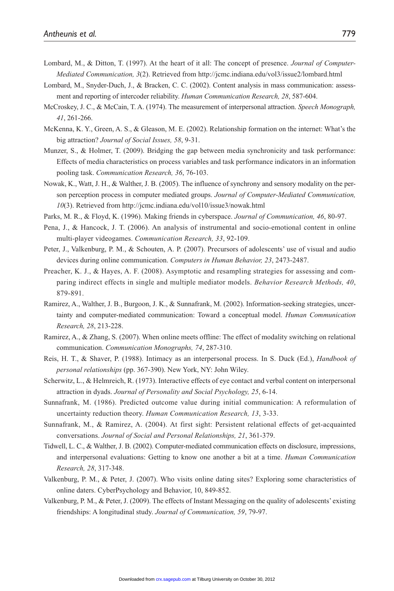- Lombard, M., & Ditton, T. (1997). At the heart of it all: The concept of presence. *Journal of Computer-Mediated Communication, 3*(2). Retrieved from http://jcmc.indiana.edu/vol3/issue2/lombard.html
- Lombard, M., Snyder-Duch, J., & Bracken, C. C. (2002). Content analysis in mass communication: assessment and reporting of intercoder reliability. *Human Communication Research, 28*, 587-604.
- McCroskey, J. C., & McCain, T. A. (1974). The measurement of interpersonal attraction. *Speech Monograph, 41*, 261-266.
- McKenna, K. Y., Green, A. S., & Gleason, M. E. (2002). Relationship formation on the internet: What's the big attraction? *Journal of Social Issues, 58*, 9-31.
- Munzer, S., & Holmer, T. (2009). Bridging the gap between media synchronicity and task performance: Effects of media characteristics on process variables and task performance indicators in an information pooling task. *Communication Research, 36*, 76-103.
- Nowak, K., Watt, J. H., & Walther, J. B. (2005). The influence of synchrony and sensory modality on the person perception process in computer mediated groups. *Journal of Computer-Mediated Communication, 10*(3). Retrieved from http://jcmc.indiana.edu/vol10/issue3/nowak.html
- Parks, M. R., & Floyd, K. (1996). Making friends in cyberspace. *Journal of Communication, 46*, 80-97.
- Pena, J., & Hancock, J. T. (2006). An analysis of instrumental and socio-emotional content in online multi-player videogames. *Communication Research, 33*, 92-109.
- Peter, J., Valkenburg, P. M., & Schouten, A. P. (2007). Precursors of adolescents' use of visual and audio devices during online communication. *Computers in Human Behavior, 23*, 2473-2487.
- Preacher, K. J., & Hayes, A. F. (2008). Asymptotic and resampling strategies for assessing and comparing indirect effects in single and multiple mediator models. *Behavior Research Methods, 40*, 879-891.
- Ramirez, A., Walther, J. B., Burgoon, J. K., & Sunnafrank, M. (2002). Information-seeking strategies, uncertainty and computer-mediated communication: Toward a conceptual model. *Human Communication Research, 28*, 213-228.
- Ramirez, A., & Zhang, S. (2007). When online meets offline: The effect of modality switching on relational communication. *Communication Monographs, 74*, 287-310.
- Reis, H. T., & Shaver, P. (1988). Intimacy as an interpersonal process. In S. Duck (Ed.), *Handbook of personal relationships* (pp. 367-390). New York, NY: John Wiley.
- Scherwitz, L., & Helmreich, R. (1973). Interactive effects of eye contact and verbal content on interpersonal attraction in dyads. *Journal of Personality and Social Psychology, 25*, 6-14.
- Sunnafrank, M. (1986). Predicted outcome value during initial communication: A reformulation of uncertainty reduction theory. *Human Communication Research, 13*, 3-33.
- Sunnafrank, M., & Ramirez, A. (2004). At first sight: Persistent relational effects of get-acquainted conversations. *Journal of Social and Personal Relationships, 21*, 361-379.
- Tidwell, L. C., & Walther, J. B. (2002). Computer-mediated communication effects on disclosure, impressions, and interpersonal evaluations: Getting to know one another a bit at a time. *Human Communication Research, 28*, 317-348.
- Valkenburg, P. M., & Peter, J. (2007). Who visits online dating sites? Exploring some characteristics of online daters. CyberPsychology and Behavior, 10, 849-852.
- Valkenburg, P. M., & Peter, J. (2009). The effects of Instant Messaging on the quality of adolescents' existing friendships: A longitudinal study. *Journal of Communication, 59*, 79-97.